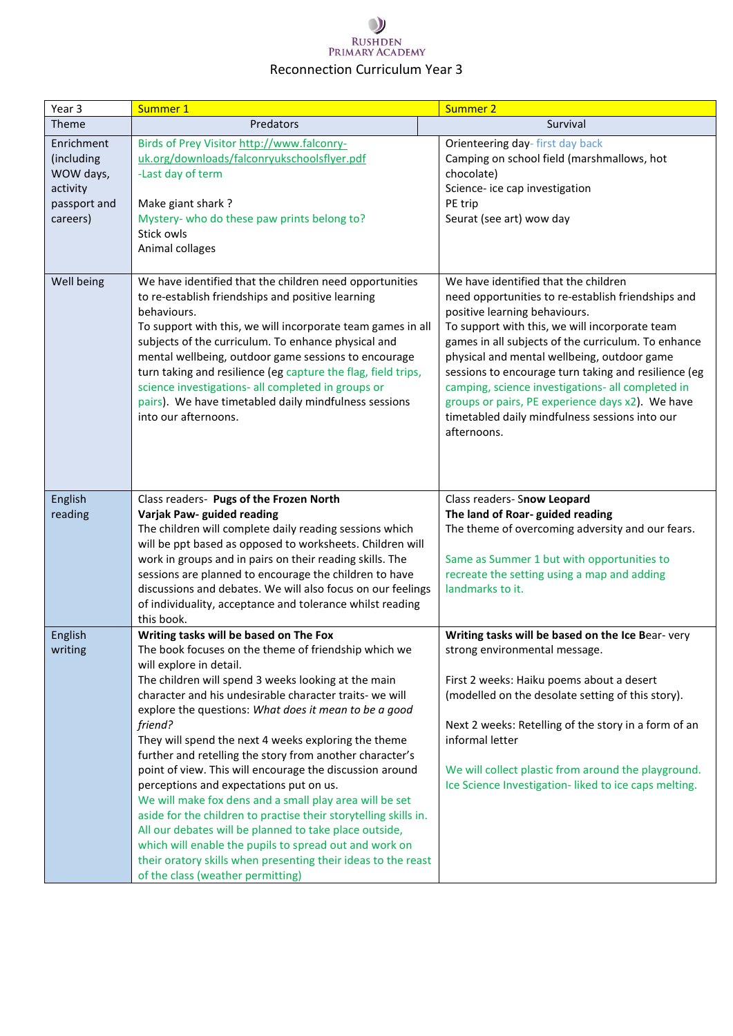| Year 3                                                                        | Summer 1                                                                                                                                                                                                                                                                                                                                                                                                                                                                                                                                                                                                                                                                                                                                                                                                                                                                                            | Summer 2                                                                                                                                                                                                                                                                                                                                                                                                                                                                                                              |
|-------------------------------------------------------------------------------|-----------------------------------------------------------------------------------------------------------------------------------------------------------------------------------------------------------------------------------------------------------------------------------------------------------------------------------------------------------------------------------------------------------------------------------------------------------------------------------------------------------------------------------------------------------------------------------------------------------------------------------------------------------------------------------------------------------------------------------------------------------------------------------------------------------------------------------------------------------------------------------------------------|-----------------------------------------------------------------------------------------------------------------------------------------------------------------------------------------------------------------------------------------------------------------------------------------------------------------------------------------------------------------------------------------------------------------------------------------------------------------------------------------------------------------------|
| Theme                                                                         | Predators                                                                                                                                                                                                                                                                                                                                                                                                                                                                                                                                                                                                                                                                                                                                                                                                                                                                                           | Survival                                                                                                                                                                                                                                                                                                                                                                                                                                                                                                              |
| Enrichment<br>(including<br>WOW days,<br>activity<br>passport and<br>careers) | Birds of Prey Visitor http://www.falconry-<br>uk.org/downloads/falconryukschoolsflyer.pdf<br>-Last day of term<br>Make giant shark?<br>Mystery- who do these paw prints belong to?<br>Stick owls<br>Animal collages                                                                                                                                                                                                                                                                                                                                                                                                                                                                                                                                                                                                                                                                                 | Orienteering day-first day back<br>Camping on school field (marshmallows, hot<br>chocolate)<br>Science- ice cap investigation<br>PE trip<br>Seurat (see art) wow day                                                                                                                                                                                                                                                                                                                                                  |
| Well being                                                                    | We have identified that the children need opportunities<br>to re-establish friendships and positive learning<br>behaviours.<br>To support with this, we will incorporate team games in all<br>subjects of the curriculum. To enhance physical and<br>mental wellbeing, outdoor game sessions to encourage<br>turn taking and resilience (eg capture the flag, field trips,<br>science investigations- all completed in groups or<br>pairs). We have timetabled daily mindfulness sessions<br>into our afternoons.                                                                                                                                                                                                                                                                                                                                                                                   | We have identified that the children<br>need opportunities to re-establish friendships and<br>positive learning behaviours.<br>To support with this, we will incorporate team<br>games in all subjects of the curriculum. To enhance<br>physical and mental wellbeing, outdoor game<br>sessions to encourage turn taking and resilience (eg<br>camping, science investigations- all completed in<br>groups or pairs, PE experience days x2). We have<br>timetabled daily mindfulness sessions into our<br>afternoons. |
| English<br>reading                                                            | Class readers- Pugs of the Frozen North<br>Varjak Paw- guided reading<br>The children will complete daily reading sessions which<br>will be ppt based as opposed to worksheets. Children will<br>work in groups and in pairs on their reading skills. The<br>sessions are planned to encourage the children to have<br>discussions and debates. We will also focus on our feelings<br>of individuality, acceptance and tolerance whilst reading<br>this book.                                                                                                                                                                                                                                                                                                                                                                                                                                       | Class readers- Snow Leopard<br>The land of Roar-guided reading<br>The theme of overcoming adversity and our fears.<br>Same as Summer 1 but with opportunities to<br>recreate the setting using a map and adding<br>landmarks to it.                                                                                                                                                                                                                                                                                   |
| English<br>writing                                                            | Writing tasks will be based on The Fox<br>The book focuses on the theme of friendship which we<br>will explore in detail.<br>The children will spend 3 weeks looking at the main<br>character and his undesirable character traits- we will<br>explore the questions: What does it mean to be a good<br>friend?<br>They will spend the next 4 weeks exploring the theme<br>further and retelling the story from another character's<br>point of view. This will encourage the discussion around<br>perceptions and expectations put on us.<br>We will make fox dens and a small play area will be set<br>aside for the children to practise their storytelling skills in.<br>All our debates will be planned to take place outside,<br>which will enable the pupils to spread out and work on<br>their oratory skills when presenting their ideas to the reast<br>of the class (weather permitting) | Writing tasks will be based on the Ice Bear- very<br>strong environmental message.<br>First 2 weeks: Haiku poems about a desert<br>(modelled on the desolate setting of this story).<br>Next 2 weeks: Retelling of the story in a form of an<br>informal letter<br>We will collect plastic from around the playground.<br>Ice Science Investigation- liked to ice caps melting.                                                                                                                                       |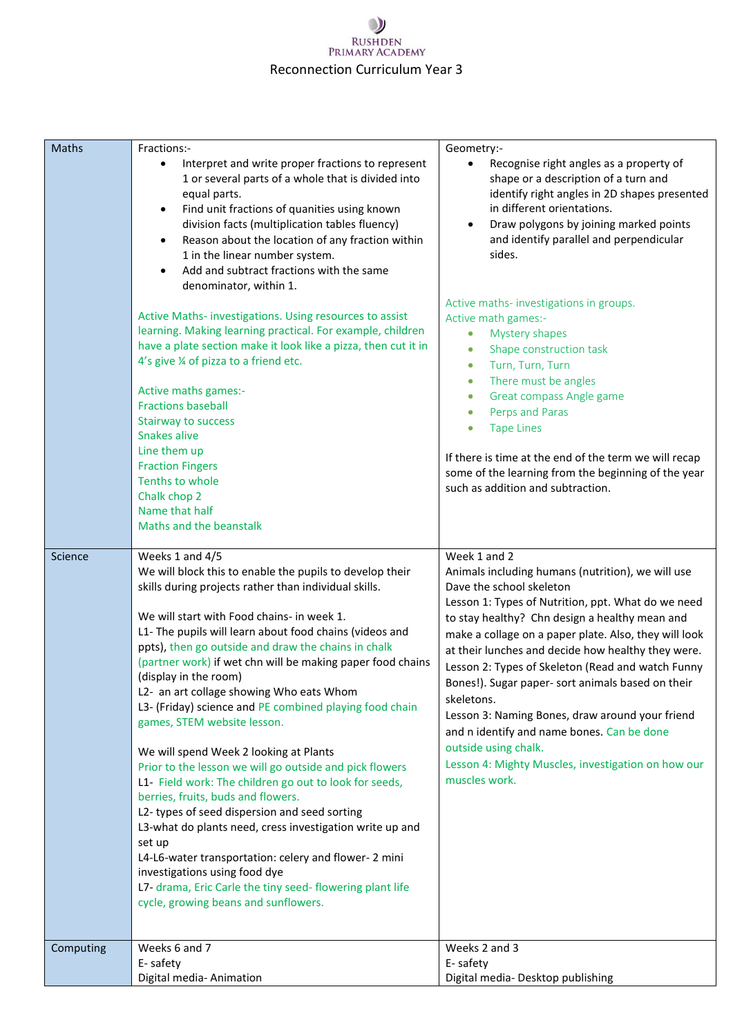| Maths     | Fractions:-<br>Interpret and write proper fractions to represent<br>$\bullet$<br>1 or several parts of a whole that is divided into<br>equal parts.<br>Find unit fractions of quanities using known<br>$\bullet$<br>division facts (multiplication tables fluency)<br>Reason about the location of any fraction within<br>٠<br>1 in the linear number system.<br>Add and subtract fractions with the same<br>denominator, within 1.<br>Active Maths- investigations. Using resources to assist<br>learning. Making learning practical. For example, children                                                                                                                                                                                                                                                                                                                                                                                                                                                                                                | Geometry:-<br>Recognise right angles as a property of<br>shape or a description of a turn and<br>identify right angles in 2D shapes presented<br>in different orientations.<br>Draw polygons by joining marked points<br>and identify parallel and perpendicular<br>sides.<br>Active maths-investigations in groups.<br>Active math games:-<br>Mystery shapes<br>$\bullet$                                                                                                                                                                                                                                                                   |
|-----------|-------------------------------------------------------------------------------------------------------------------------------------------------------------------------------------------------------------------------------------------------------------------------------------------------------------------------------------------------------------------------------------------------------------------------------------------------------------------------------------------------------------------------------------------------------------------------------------------------------------------------------------------------------------------------------------------------------------------------------------------------------------------------------------------------------------------------------------------------------------------------------------------------------------------------------------------------------------------------------------------------------------------------------------------------------------|----------------------------------------------------------------------------------------------------------------------------------------------------------------------------------------------------------------------------------------------------------------------------------------------------------------------------------------------------------------------------------------------------------------------------------------------------------------------------------------------------------------------------------------------------------------------------------------------------------------------------------------------|
|           | have a plate section make it look like a pizza, then cut it in<br>4's give 1/4 of pizza to a friend etc.<br>Active maths games:-<br><b>Fractions baseball</b><br><b>Stairway to success</b><br>Snakes alive<br>Line them up<br><b>Fraction Fingers</b>                                                                                                                                                                                                                                                                                                                                                                                                                                                                                                                                                                                                                                                                                                                                                                                                      | Shape construction task<br>$\bullet$<br>Turn, Turn, Turn<br>$\bullet$<br>There must be angles<br>$\bullet$<br>Great compass Angle game<br>$\bullet$<br>Perps and Paras<br><b>Tape Lines</b><br>If there is time at the end of the term we will recap<br>some of the learning from the beginning of the year                                                                                                                                                                                                                                                                                                                                  |
|           | Tenths to whole<br>Chalk chop 2<br>Name that half<br>Maths and the beanstalk                                                                                                                                                                                                                                                                                                                                                                                                                                                                                                                                                                                                                                                                                                                                                                                                                                                                                                                                                                                | such as addition and subtraction.                                                                                                                                                                                                                                                                                                                                                                                                                                                                                                                                                                                                            |
| Science   | Weeks 1 and 4/5<br>We will block this to enable the pupils to develop their<br>skills during projects rather than individual skills.<br>We will start with Food chains- in week 1.<br>L1- The pupils will learn about food chains (videos and<br>ppts), then go outside and draw the chains in chalk<br>(partner work) if wet chn will be making paper food chains<br>(display in the room)<br>L2- an art collage showing Who eats Whom<br>L3- (Friday) science and PE combined playing food chain<br>games, STEM website lesson.<br>We will spend Week 2 looking at Plants<br>Prior to the lesson we will go outside and pick flowers<br>L1- Field work: The children go out to look for seeds,<br>berries, fruits, buds and flowers.<br>L2-types of seed dispersion and seed sorting<br>L3-what do plants need, cress investigation write up and<br>set up<br>L4-L6-water transportation: celery and flower- 2 mini<br>investigations using food dye<br>L7- drama, Eric Carle the tiny seed- flowering plant life<br>cycle, growing beans and sunflowers. | Week 1 and 2<br>Animals including humans (nutrition), we will use<br>Dave the school skeleton<br>Lesson 1: Types of Nutrition, ppt. What do we need<br>to stay healthy? Chn design a healthy mean and<br>make a collage on a paper plate. Also, they will look<br>at their lunches and decide how healthy they were.<br>Lesson 2: Types of Skeleton (Read and watch Funny<br>Bones!). Sugar paper- sort animals based on their<br>skeletons.<br>Lesson 3: Naming Bones, draw around your friend<br>and n identify and name bones. Can be done<br>outside using chalk.<br>Lesson 4: Mighty Muscles, investigation on how our<br>muscles work. |
| Computing | Weeks 6 and 7<br>E-safety<br>Digital media-Animation                                                                                                                                                                                                                                                                                                                                                                                                                                                                                                                                                                                                                                                                                                                                                                                                                                                                                                                                                                                                        | Weeks 2 and 3<br>E-safety<br>Digital media- Desktop publishing                                                                                                                                                                                                                                                                                                                                                                                                                                                                                                                                                                               |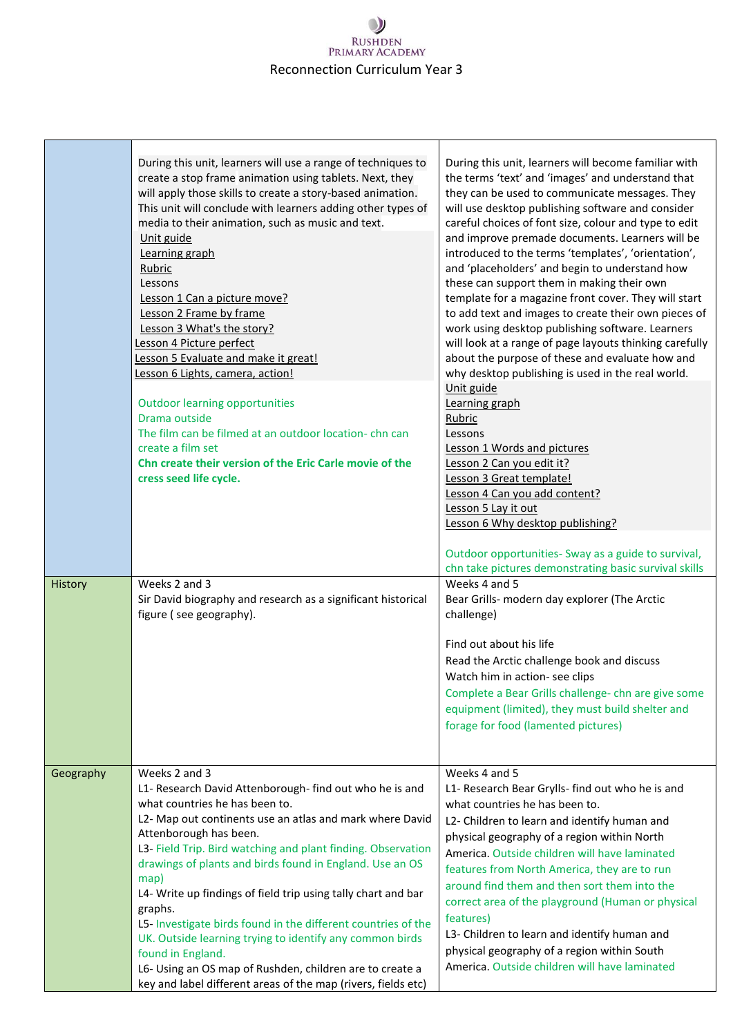| History<br>Geography | Weeks 2 and 3<br>Sir David biography and research as a significant historical<br>figure (see geography).<br>Weeks 2 and 3<br>L1- Research David Attenborough- find out who he is and<br>what countries he has been to.<br>L2- Map out continents use an atlas and mark where David<br>Attenborough has been.<br>L3- Field Trip. Bird watching and plant finding. Observation<br>drawings of plants and birds found in England. Use an OS<br>map)<br>L4- Write up findings of field trip using tally chart and bar<br>graphs. | Outdoor opportunities- Sway as a guide to survival,<br>chn take pictures demonstrating basic survival skills<br>Weeks 4 and 5<br>Bear Grills- modern day explorer (The Arctic<br>challenge)<br>Find out about his life<br>Read the Arctic challenge book and discuss<br>Watch him in action- see clips<br>Complete a Bear Grills challenge- chn are give some<br>equipment (limited), they must build shelter and<br>forage for food (lamented pictures)<br>Weeks 4 and 5<br>L1- Research Bear Grylls- find out who he is and<br>what countries he has been to.<br>L2- Children to learn and identify human and<br>physical geography of a region within North<br>America. Outside children will have laminated<br>features from North America, they are to run<br>around find them and then sort them into the<br>correct area of the playground (Human or physical |
|----------------------|------------------------------------------------------------------------------------------------------------------------------------------------------------------------------------------------------------------------------------------------------------------------------------------------------------------------------------------------------------------------------------------------------------------------------------------------------------------------------------------------------------------------------|----------------------------------------------------------------------------------------------------------------------------------------------------------------------------------------------------------------------------------------------------------------------------------------------------------------------------------------------------------------------------------------------------------------------------------------------------------------------------------------------------------------------------------------------------------------------------------------------------------------------------------------------------------------------------------------------------------------------------------------------------------------------------------------------------------------------------------------------------------------------|
|                      | Lesson 6 Lights, camera, action!<br><b>Outdoor learning opportunities</b><br>Drama outside<br>The film can be filmed at an outdoor location-chn can<br>create a film set<br>Chn create their version of the Eric Carle movie of the<br>cress seed life cycle.                                                                                                                                                                                                                                                                | why desktop publishing is used in the real world.<br>Unit guide<br>Learning graph<br>Rubric<br>Lessons<br>Lesson 1 Words and pictures<br>Lesson 2 Can you edit it?<br>Lesson 3 Great template!<br>Lesson 4 Can you add content?<br>Lesson 5 Lay it out<br>Lesson 6 Why desktop publishing?                                                                                                                                                                                                                                                                                                                                                                                                                                                                                                                                                                           |
|                      | During this unit, learners will use a range of techniques to<br>create a stop frame animation using tablets. Next, they<br>will apply those skills to create a story-based animation.<br>This unit will conclude with learners adding other types of<br>media to their animation, such as music and text.<br>Unit guide<br>Learning graph<br>Rubric<br>Lessons<br>Lesson 1 Can a picture move?<br>Lesson 2 Frame by frame<br>Lesson 3 What's the story?<br>Lesson 4 Picture perfect<br>Lesson 5 Evaluate and make it great!  | During this unit, learners will become familiar with<br>the terms 'text' and 'images' and understand that<br>they can be used to communicate messages. They<br>will use desktop publishing software and consider<br>careful choices of font size, colour and type to edit<br>and improve premade documents. Learners will be<br>introduced to the terms 'templates', 'orientation',<br>and 'placeholders' and begin to understand how<br>these can support them in making their own<br>template for a magazine front cover. They will start<br>to add text and images to create their own pieces of<br>work using desktop publishing software. Learners<br>will look at a range of page layouts thinking carefully<br>about the purpose of these and evaluate how and                                                                                                |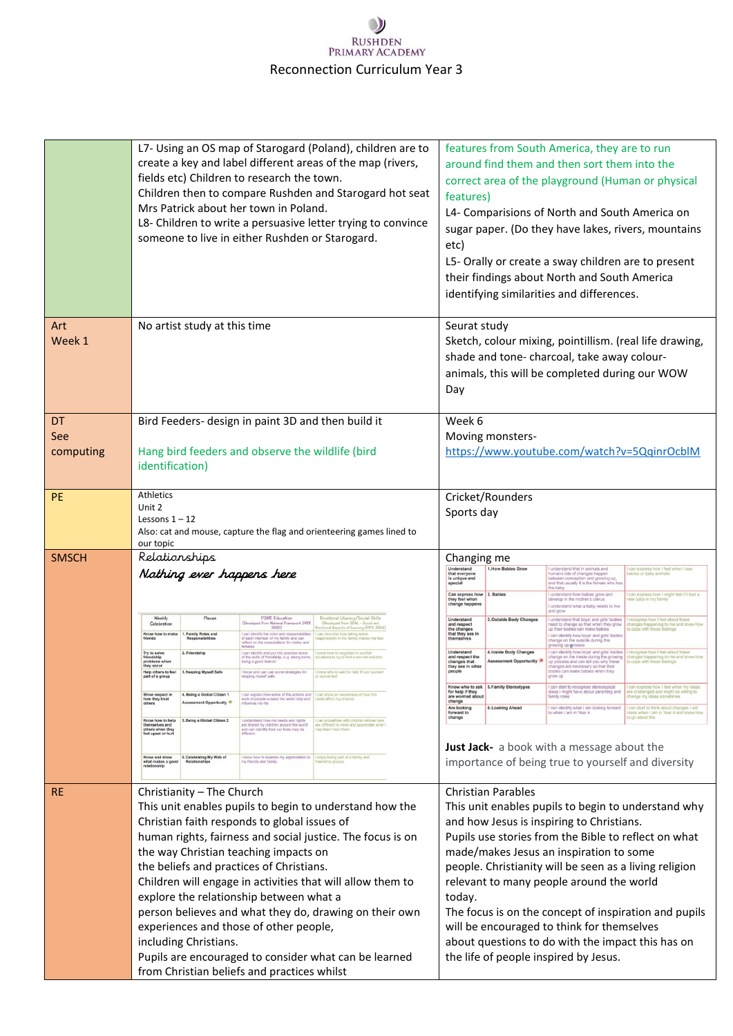|                        | L7- Using an OS map of Starogard (Poland), children are to<br>create a key and label different areas of the map (rivers,<br>fields etc) Children to research the town.<br>Children then to compare Rushden and Starogard hot seat<br>Mrs Patrick about her town in Poland.<br>L8- Children to write a persuasive letter trying to convince<br>someone to live in either Rushden or Starogard.                                                                                                                                                                                                                                                                                                                                                                                                                                                                                                                                                                                                                                                                                                                                                                                                                                                                                                                                                                                                                                                                                                                                                                                                                                                                                                                                                                                                                                                                                                                                | features from South America, they are to run<br>around find them and then sort them into the<br>correct area of the playground (Human or physical<br>features)<br>L4- Comparisions of North and South America on<br>sugar paper. (Do they have lakes, rivers, mountains<br>etc)<br>L5- Orally or create a sway children are to present<br>their findings about North and South America<br>identifying similarities and differences.                                                                                                                                                                                                                                                                                                                                                                                                                                                                                                                                                                                                                                                                                                                                                                                                                                                                                                                                                                                                                                                                                                                                                                                                                                                                                                                                                                                                                                                                                                                                                                                                                                                               |
|------------------------|------------------------------------------------------------------------------------------------------------------------------------------------------------------------------------------------------------------------------------------------------------------------------------------------------------------------------------------------------------------------------------------------------------------------------------------------------------------------------------------------------------------------------------------------------------------------------------------------------------------------------------------------------------------------------------------------------------------------------------------------------------------------------------------------------------------------------------------------------------------------------------------------------------------------------------------------------------------------------------------------------------------------------------------------------------------------------------------------------------------------------------------------------------------------------------------------------------------------------------------------------------------------------------------------------------------------------------------------------------------------------------------------------------------------------------------------------------------------------------------------------------------------------------------------------------------------------------------------------------------------------------------------------------------------------------------------------------------------------------------------------------------------------------------------------------------------------------------------------------------------------------------------------------------------------|---------------------------------------------------------------------------------------------------------------------------------------------------------------------------------------------------------------------------------------------------------------------------------------------------------------------------------------------------------------------------------------------------------------------------------------------------------------------------------------------------------------------------------------------------------------------------------------------------------------------------------------------------------------------------------------------------------------------------------------------------------------------------------------------------------------------------------------------------------------------------------------------------------------------------------------------------------------------------------------------------------------------------------------------------------------------------------------------------------------------------------------------------------------------------------------------------------------------------------------------------------------------------------------------------------------------------------------------------------------------------------------------------------------------------------------------------------------------------------------------------------------------------------------------------------------------------------------------------------------------------------------------------------------------------------------------------------------------------------------------------------------------------------------------------------------------------------------------------------------------------------------------------------------------------------------------------------------------------------------------------------------------------------------------------------------------------------------------------|
| Art<br>Week 1          | No artist study at this time                                                                                                                                                                                                                                                                                                                                                                                                                                                                                                                                                                                                                                                                                                                                                                                                                                                                                                                                                                                                                                                                                                                                                                                                                                                                                                                                                                                                                                                                                                                                                                                                                                                                                                                                                                                                                                                                                                 | Seurat study<br>Sketch, colour mixing, pointillism. (real life drawing,<br>shade and tone- charcoal, take away colour-<br>animals, this will be completed during our WOW<br>Day                                                                                                                                                                                                                                                                                                                                                                                                                                                                                                                                                                                                                                                                                                                                                                                                                                                                                                                                                                                                                                                                                                                                                                                                                                                                                                                                                                                                                                                                                                                                                                                                                                                                                                                                                                                                                                                                                                                   |
| DT<br>See<br>computing | Bird Feeders- design in paint 3D and then build it<br>Hang bird feeders and observe the wildlife (bird<br>identification)                                                                                                                                                                                                                                                                                                                                                                                                                                                                                                                                                                                                                                                                                                                                                                                                                                                                                                                                                                                                                                                                                                                                                                                                                                                                                                                                                                                                                                                                                                                                                                                                                                                                                                                                                                                                    | Week 6<br>Moving monsters-<br>https://www.youtube.com/watch?v=5QqinrOcblM                                                                                                                                                                                                                                                                                                                                                                                                                                                                                                                                                                                                                                                                                                                                                                                                                                                                                                                                                                                                                                                                                                                                                                                                                                                                                                                                                                                                                                                                                                                                                                                                                                                                                                                                                                                                                                                                                                                                                                                                                         |
| <b>PE</b>              | Athletics<br>Unit 2<br>Lessons $1 - 12$<br>Also: cat and mouse, capture the flag and orienteering games lined to<br>our topic                                                                                                                                                                                                                                                                                                                                                                                                                                                                                                                                                                                                                                                                                                                                                                                                                                                                                                                                                                                                                                                                                                                                                                                                                                                                                                                                                                                                                                                                                                                                                                                                                                                                                                                                                                                                | Cricket/Rounders<br>Sports day                                                                                                                                                                                                                                                                                                                                                                                                                                                                                                                                                                                                                                                                                                                                                                                                                                                                                                                                                                                                                                                                                                                                                                                                                                                                                                                                                                                                                                                                                                                                                                                                                                                                                                                                                                                                                                                                                                                                                                                                                                                                    |
| <b>SMSCH</b>           | Relationships<br>Nothing ever happens here<br><b>PSHE Education</b><br>Weekly<br>Pieces<br>Emotional Literacy/Social Skills<br>(Developed from National Framework DFEE<br>(Developed from SEAL - Social at<br>Celebration<br>2000)<br>Emotional Aspects of Learning DFES 2004)<br>I can identify the roles and responsibilit<br>of each member of my family and can<br>Know how to mak<br><b>Family Roles and</b><br>can describe how taking some<br>esponsibility in my family makes me feel<br>friends<br><b>Responsibilities</b><br>eflect on the expectations for males and<br>2. Friendship<br>can identify and put into practice some<br>Try to solve<br>friendship<br>know how to negotiate in conflict<br>of the skills of friendship, e.g. taking turns,<br>situations to try to find a win-win solution<br>problems<br>being a good listener<br>they occur<br>Help others to feel<br>3. Keeping Myself Safe<br>know and can use some strategies for<br>I know who to ask for help if I am womed<br>part of a group<br>ceeping myself safe<br>Show respect in<br>4. Being a Global Citizen 1<br>I can explain how some of the actions and   I can show an awareness of how this<br>work of people around the world help and   could affect my choices<br>how they treat<br><b>Assessment Opportunity</b><br>others<br>influence my life<br>Know how to help<br>themselves and<br>5. Being a Global Citizen 2<br>I understand how my needs and rights.<br>are shared by children around the world<br>I can empathise with children whose lives<br>are different to mine and appreciate what I<br>others when they<br>and can identify how our lives may be<br>nay learn from them<br>feel upset or hurt<br>6. Celebrating My Web of<br>Know and show<br>I know how to express my appreciation to<br>my friends and family<br>enjoy being part of a family and<br>what makes a good<br>andship groups<br>relationship | Changing me<br>Understand<br>1. How Babies Grow<br>understand that in animals and<br>I can express how I feel when I see<br>that everyone<br>humans lots of changes happen<br>abies or baby animals<br>is unique and<br>between conception and growing up,<br>and that usually it is the female who has<br>special<br>the baby<br>Can express how 2. Babies<br>I understand how babies grow and<br>can express how I might feel if I had a<br>they feel when<br>develop in the mother's uterus<br>ew baby in my family<br>change happens<br>I understand what a baby needs to live<br>and grow<br>Understand<br>3. Outside Body Changes<br>understand that boys' and girls' bodies<br>recognise how I feel about these<br>and respect<br>need to change so that when they grow<br>anges happening to me and know how<br>the changes<br>up their bodies can make babies<br>o cope with those feelings<br>that they see in<br>I can identify how boys' and girls' bodies<br>themselves<br>change on the outside during this<br>prowing up process<br>Understand<br>can identify how boys' and girls' bodies<br>4. Inside Body Changes<br>recognise how I feel about these<br>and respect the<br>change on the inside during the growing<br>hanges happening to me and know how<br><b>Assessment Opportunity *</b><br>up process and can tell you why these<br>o cope with these feelings<br>changes that<br>they see in other<br>changes are necessary so that their<br>bodies can make babies when they<br>people<br>grow up<br>Know who to ask 5. Family Stereotyp<br>ideas I might have about parenting and<br>for help if they<br>are challenged and might be willing to<br>are worried about<br>family roles<br>hange my ideas someti<br>change<br>Are looking<br>6. Looking Ahead<br>I can identify what I am looking forward<br>I can start to think about changes I will<br>forward to<br>to when I am in Year 4<br>nake when I am in Year 4 and know how<br>change<br>to go about this<br>Just Jack- a book with a message about the<br>importance of being true to yourself and diversity |
| <b>RE</b>              | Christianity - The Church<br>This unit enables pupils to begin to understand how the<br>Christian faith responds to global issues of<br>human rights, fairness and social justice. The focus is on<br>the way Christian teaching impacts on<br>the beliefs and practices of Christians.<br>Children will engage in activities that will allow them to<br>explore the relationship between what a<br>person believes and what they do, drawing on their own<br>experiences and those of other people,<br>including Christians.<br>Pupils are encouraged to consider what can be learned<br>from Christian beliefs and practices whilst                                                                                                                                                                                                                                                                                                                                                                                                                                                                                                                                                                                                                                                                                                                                                                                                                                                                                                                                                                                                                                                                                                                                                                                                                                                                                        | <b>Christian Parables</b><br>This unit enables pupils to begin to understand why<br>and how Jesus is inspiring to Christians.<br>Pupils use stories from the Bible to reflect on what<br>made/makes Jesus an inspiration to some<br>people. Christianity will be seen as a living religion<br>relevant to many people around the world<br>today.<br>The focus is on the concept of inspiration and pupils<br>will be encouraged to think for themselves<br>about questions to do with the impact this has on<br>the life of people inspired by Jesus.                                                                                                                                                                                                                                                                                                                                                                                                                                                                                                                                                                                                                                                                                                                                                                                                                                                                                                                                                                                                                                                                                                                                                                                                                                                                                                                                                                                                                                                                                                                                             |